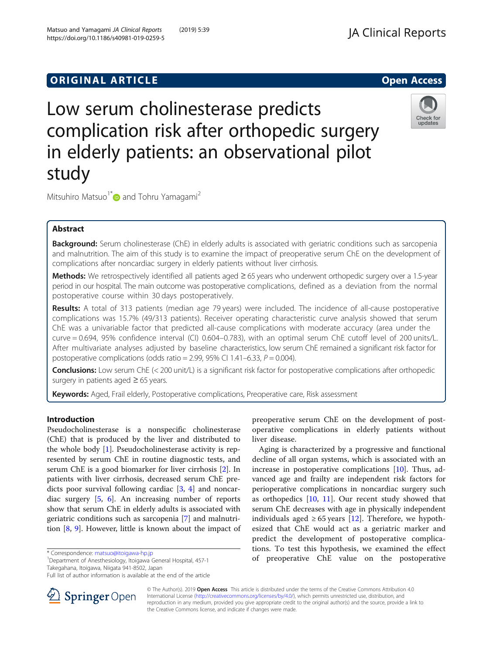# **ORIGINAL ARTICLE** And the open Access of the Open Access of the Open Access of the Open Access of the Open Access

# Low serum cholinesterase predicts complication risk after orthopedic surgery in elderly patients: an observational pilot study

Mitsuhiro Matsuo<sup>1[\\*](http://orcid.org/0000-0001-9041-9590)</sup> and Tohru Yamagami<sup>2</sup>

# Abstract

Background: Serum cholinesterase (ChE) in elderly adults is associated with geriatric conditions such as sarcopenia and malnutrition. The aim of this study is to examine the impact of preoperative serum ChE on the development of complications after noncardiac surgery in elderly patients without liver cirrhosis.

Methods: We retrospectively identified all patients aged ≥ 65 years who underwent orthopedic surgery over a 1.5-year period in our hospital. The main outcome was postoperative complications, defined as a deviation from the normal postoperative course within 30 days postoperatively.

Results: A total of 313 patients (median age 79 years) were included. The incidence of all-cause postoperative complications was 15.7% (49/313 patients). Receiver operating characteristic curve analysis showed that serum ChE was a univariable factor that predicted all-cause complications with moderate accuracy (area under the curve = 0.694, 95% confidence interval (CI) 0.604–0.783), with an optimal serum ChE cutoff level of 200 units/L. After multivariate analyses adjusted by baseline characteristics, low serum ChE remained a significant risk factor for postoperative complications (odds ratio = 2.99, 95% CI 1.41-6.33,  $P = 0.004$ ).

**Conclusions:** Low serum ChE (< 200 unit/L) is a significant risk factor for postoperative complications after orthopedic surgery in patients aged  $\geq 65$  years.

**Keywords:** Aged, Frail elderly, Postoperative complications, Preoperative care, Risk assessment

## Introduction

Pseudocholinesterase is a nonspecific cholinesterase (ChE) that is produced by the liver and distributed to the whole body [\[1](#page-3-0)]. Pseudocholinesterase activity is represented by serum ChE in routine diagnostic tests, and serum ChE is a good biomarker for liver cirrhosis [\[2](#page-3-0)]. In patients with liver cirrhosis, decreased serum ChE predicts poor survival following cardiac [[3](#page-3-0), [4\]](#page-3-0) and noncardiac surgery [\[5](#page-3-0), [6\]](#page-3-0). An increasing number of reports show that serum ChE in elderly adults is associated with geriatric conditions such as sarcopenia [\[7](#page-3-0)] and malnutrition [[8,](#page-3-0) [9](#page-3-0)]. However, little is known about the impact of

\* Correspondence: [matsuo@itoigawa-hp.jp](mailto:matsuo@itoigawa-hp.jp) <sup>1</sup>

SpringerOpen

<sup>1</sup>Department of Anesthesiology, Itoigawa General Hospital, 457-1 Takegahana, Itoigawa, Niigata 941-8502, Japan

preoperative serum ChE on the development of postoperative complications in elderly patients without liver disease.

Aging is characterized by a progressive and functional decline of all organ systems, which is associated with an increase in postoperative complications [\[10](#page-3-0)]. Thus, advanced age and frailty are independent risk factors for perioperative complications in noncardiac surgery such as orthopedics  $[10, 11]$  $[10, 11]$  $[10, 11]$ . Our recent study showed that serum ChE decreases with age in physically independent individuals aged  $\geq 65$  years [\[12](#page-3-0)]. Therefore, we hypothesized that ChE would act as a geriatric marker and predict the development of postoperative complications. To test this hypothesis, we examined the effect of preoperative ChE value on the postoperative

© The Author(s). 2019 Open Access This article is distributed under the terms of the Creative Commons Attribution 4.0 International License ([http://creativecommons.org/licenses/by/4.0/\)](http://creativecommons.org/licenses/by/4.0/), which permits unrestricted use, distribution, and reproduction in any medium, provided you give appropriate credit to the original author(s) and the source, provide a link to the Creative Commons license, and indicate if changes were made.



Check for updates

Full list of author information is available at the end of the article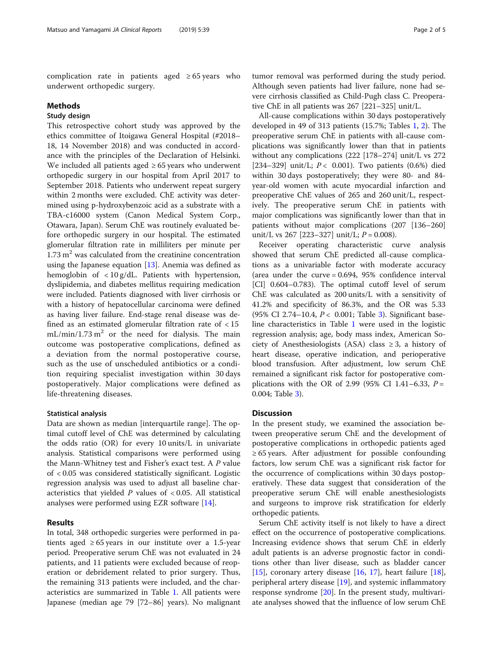complication rate in patients aged  $\geq 65$  years who underwent orthopedic surgery.

#### Methods

## Study design

This retrospective cohort study was approved by the ethics committee of Itoigawa General Hospital (#2018– 18, 14 November 2018) and was conducted in accordance with the principles of the Declaration of Helsinki. We included all patients aged  $\geq 65$  years who underwent orthopedic surgery in our hospital from April 2017 to September 2018. Patients who underwent repeat surgery within 2 months were excluded. ChE activity was determined using p-hydroxybenzoic acid as a substrate with a TBA-c16000 system (Canon Medical System Corp., Otawara, Japan). Serum ChE was routinely evaluated before orthopedic surgery in our hospital. The estimated glomerular filtration rate in milliliters per minute per  $1.73 \text{ m}^2$  was calculated from the creatinine concentration using the Japanese equation  $[13]$  $[13]$  $[13]$ . Anemia was defined as hemoglobin of < 10 g/dL. Patients with hypertension, dyslipidemia, and diabetes mellitus requiring medication were included. Patients diagnosed with liver cirrhosis or with a history of hepatocellular carcinoma were defined as having liver failure. End-stage renal disease was defined as an estimated glomerular filtration rate of  $<$  15  $mL/min/1.73 m<sup>2</sup>$  or the need for dialysis. The main outcome was postoperative complications, defined as a deviation from the normal postoperative course, such as the use of unscheduled antibiotics or a condition requiring specialist investigation within 30 days postoperatively. Major complications were defined as life-threatening diseases.

#### Statistical analysis

Data are shown as median [interquartile range]. The optimal cutoff level of ChE was determined by calculating the odds ratio (OR) for every 10 units/L in univariate analysis. Statistical comparisons were performed using the Mann-Whitney test and Fisher's exact test. A P value of < 0.05 was considered statistically significant. Logistic regression analysis was used to adjust all baseline characteristics that yielded  $P$  values of < 0.05. All statistical analyses were performed using EZR software [[14](#page-3-0)].

### Results

In total, 348 orthopedic surgeries were performed in patients aged  $\geq 65$  years in our institute over a 1.5-year period. Preoperative serum ChE was not evaluated in 24 patients, and 11 patients were excluded because of reoperation or debridement related to prior surgery. Thus, the remaining 313 patients were included, and the characteristics are summarized in Table [1](#page-2-0). All patients were Japanese (median age 79 [72–86] years). No malignant

tumor removal was performed during the study period. Although seven patients had liver failure, none had severe cirrhosis classified as Child-Pugh class C. Preoperative ChE in all patients was 267 [221–325] unit/L.

All-cause complications within 30 days postoperatively developed in 49 of 313 patients (15.7%; Tables [1,](#page-2-0) [2\)](#page-2-0). The preoperative serum ChE in patients with all-cause complications was significantly lower than that in patients without any complications (222 [178–274] unit/L vs 272 [234–329] unit/L;  $P < 0.001$ ). Two patients (0.6%) died within 30 days postoperatively; they were 80- and 84 year-old women with acute myocardial infarction and preoperative ChE values of 265 and 260 unit/L, respectively. The preoperative serum ChE in patients with major complications was significantly lower than that in patients without major complications (207 [136–260] unit/L vs 267 [223-327] unit/L;  $P = 0.008$ ).

Receiver operating characteristic curve analysis showed that serum ChE predicted all-cause complications as a univariable factor with moderate accuracy (area under the curve  $= 0.694$ , 95% confidence interval [CI] 0.604–0.783). The optimal cutoff level of serum ChE was calculated as 200 units/L with a sensitivity of 41.2% and specificity of 86.3%, and the OR was 5.33 (95% CI 2.74-10.4, P < 0.001; Table [3](#page-3-0)). Significant baseline characteristics in Table [1](#page-2-0) were used in the logistic regression analysis; age, body mass index, American Society of Anesthesiologists (ASA) class  $\geq 3$ , a history of heart disease, operative indication, and perioperative blood transfusion. After adjustment, low serum ChE remained a significant risk factor for postoperative complications with the OR of 2.99 (95% CI 1.41-6.33,  $P =$ 0.004; Table [3\)](#page-3-0).

#### **Discussion**

In the present study, we examined the association between preoperative serum ChE and the development of postoperative complications in orthopedic patients aged  $\geq 65$  years. After adjustment for possible confounding factors, low serum ChE was a significant risk factor for the occurrence of complications within 30 days postoperatively. These data suggest that consideration of the preoperative serum ChE will enable anesthesiologists and surgeons to improve risk stratification for elderly orthopedic patients.

Serum ChE activity itself is not likely to have a direct effect on the occurrence of postoperative complications. Increasing evidence shows that serum ChE in elderly adult patients is an adverse prognostic factor in conditions other than liver disease, such as bladder cancer [[15\]](#page-3-0), coronary artery disease [[16](#page-4-0), [17](#page-4-0)], heart failure [\[18](#page-4-0)], peripheral artery disease [\[19](#page-4-0)], and systemic inflammatory response syndrome [[20](#page-4-0)]. In the present study, multivariate analyses showed that the influence of low serum ChE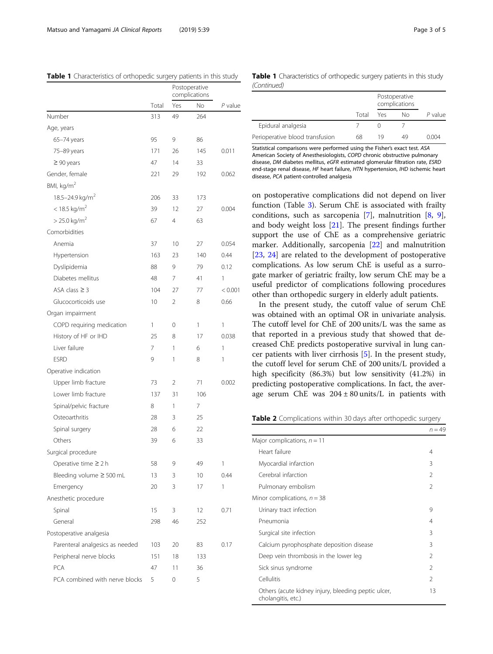<span id="page-2-0"></span>

| Table 1 Characteristics of orthopedic surgery patients in this study |  |  |
|----------------------------------------------------------------------|--|--|
|                                                                      |  |  |

|                                 |       | Postoperative<br>complications |     |         |
|---------------------------------|-------|--------------------------------|-----|---------|
|                                 | Total | Yes                            | No  | P value |
| Number                          | 313   | 49                             | 264 |         |
| Age, years                      |       |                                |     |         |
| 65-74 years                     | 95    | 9                              | 86  |         |
| 75-89 years                     | 171   | 26                             | 145 | 0.011   |
| $\geq 90$ years                 | 47    | 14                             | 33  |         |
| Gender, female                  | 221   | 29                             | 192 | 0.062   |
| BMI, kg/m <sup>2</sup>          |       |                                |     |         |
| 18.5-24.9 kg/m <sup>2</sup>     | 206   | 33                             | 173 |         |
| $<$ 18.5 kg/m <sup>2</sup>      | 39    | 12                             | 27  | 0.004   |
| $> 25.0$ kg/m <sup>2</sup>      | 67    | 4                              | 63  |         |
| Comorbidities                   |       |                                |     |         |
| Anemia                          | 37    | 10                             | 27  | 0.054   |
| Hypertension                    | 163   | 23                             | 140 | 0.44    |
| Dyslipidemia                    | 88    | 9                              | 79  | 0.12    |
| Diabetes mellitus               | 48    | 7                              | 41  | 1       |
| ASA class $\geq$ 3              | 104   | 27                             | 77  | < 0.001 |
| Glucocorticoids use             | 10    | 2                              | 8   | 0.66    |
| Organ impairment                |       |                                |     |         |
| COPD requiring medication       | 1     | 0                              | 1   | 1       |
| History of HF or IHD            | 25    | 8                              | 17  | 0.038   |
| Liver failure                   | 7     | 1                              | 6   | 1       |
| <b>ESRD</b>                     | 9     | 1                              | 8   | 1       |
| Operative indication            |       |                                |     |         |
| Upper limb fracture             | 73    | 2                              | 71  | 0.002   |
| Lower limb fracture             | 137   | 31                             | 106 |         |
| Spinal/pelvic fracture          | 8     | 1                              | 7   |         |
| Osteoarthritis                  | 28    | 3                              | 25  |         |
| Spinal surgery                  | 28    | 6                              | 22  |         |
| Others                          | 39    | 6                              | 33  |         |
| Surgical procedure              |       |                                |     |         |
| Operative time $\geq 2$ h       | 58    | 9                              | 49  | 1       |
| Bleeding volume $\geq$ 500 mL   | 13    | 3                              | 10  | 0.44    |
| Emergency                       | 20    | 3                              | 17  | 1       |
| Anesthetic procedure            |       |                                |     |         |
| Spinal                          | 15    | 3                              | 12  | 0.71    |
| General                         | 298   | 46                             | 252 |         |
| Postoperative analgesia         |       |                                |     |         |
| Parenteral analgesics as needed | 103   | 20                             | 83  | 0.17    |
| Peripheral nerve blocks         | 151   | 18                             | 133 |         |
| PCA                             | 47    | 11                             | 36  |         |
| PCA combined with nerve blocks  | 5     | 0                              | 5   |         |
|                                 |       |                                |     |         |

|             | Table 1 Characteristics of orthopedic surgery patients in this study |  |  |  |
|-------------|----------------------------------------------------------------------|--|--|--|
| (Continued) |                                                                      |  |  |  |

|                                 |       |     | Postoperative<br>complications |         |  |
|---------------------------------|-------|-----|--------------------------------|---------|--|
|                                 | Total | Yes | Nο                             | P value |  |
| Epidural analgesia              |       |     |                                |         |  |
| Perioperative blood transfusion | 68    | 19  | 49                             | 0.004   |  |

Statistical comparisons were performed using the Fisher's exact test. ASA American Society of Anesthesiologists, COPD chronic obstructive pulmonary disease, DM diabetes mellitus, eGFR estimated glomerular filtration rate, ESRD end-stage renal disease, HF heart failure, HTN hypertension, IHD ischemic heart disease, PCA patient-controlled analgesia

on postoperative complications did not depend on liver function (Table [3\)](#page-3-0). Serum ChE is associated with frailty conditions, such as sarcopenia [\[7](#page-3-0)], malnutrition [[8,](#page-3-0) [9](#page-3-0)], and body weight loss [[21](#page-4-0)]. The present findings further support the use of ChE as a comprehensive geriatric marker. Additionally, sarcopenia [\[22](#page-4-0)] and malnutrition [[23,](#page-4-0) [24](#page-4-0)] are related to the development of postoperative complications. As low serum ChE is useful as a surrogate marker of geriatric frailty, low serum ChE may be a useful predictor of complications following procedures other than orthopedic surgery in elderly adult patients.

In the present study, the cutoff value of serum ChE was obtained with an optimal OR in univariate analysis. The cutoff level for ChE of 200 units/L was the same as that reported in a previous study that showed that decreased ChE predicts postoperative survival in lung cancer patients with liver cirrhosis [\[5](#page-3-0)]. In the present study, the cutoff level for serum ChE of 200 units/L provided a high specificity (86.3%) but low sensitivity (41.2%) in predicting postoperative complications. In fact, the average serum ChE was  $204 \pm 80$  units/L in patients with

Table 2 Complications within 30 days after orthopedic surgery

|                                                                           | $n = 49$       |
|---------------------------------------------------------------------------|----------------|
| Major complications, $n = 11$                                             |                |
| Heart failure                                                             | 4              |
| Myocardial infarction                                                     | 3              |
| Cerebral infarction                                                       | $\mathfrak{D}$ |
| Pulmonary embolism                                                        | $\mathcal{P}$  |
| Minor complications, $n = 38$                                             |                |
| Urinary tract infection                                                   | 9              |
| Pneumonia                                                                 | 4              |
| Surgical site infection                                                   | 3              |
| Calcium pyrophosphate deposition disease                                  | 3              |
| Deep vein thrombosis in the lower leg                                     | $\mathcal{P}$  |
| Sick sinus syndrome                                                       | $\mathfrak{D}$ |
| Cellulitis                                                                | $\mathfrak{D}$ |
| Others (acute kidney injury, bleeding peptic ulcer,<br>cholangitis, etc.) | 13             |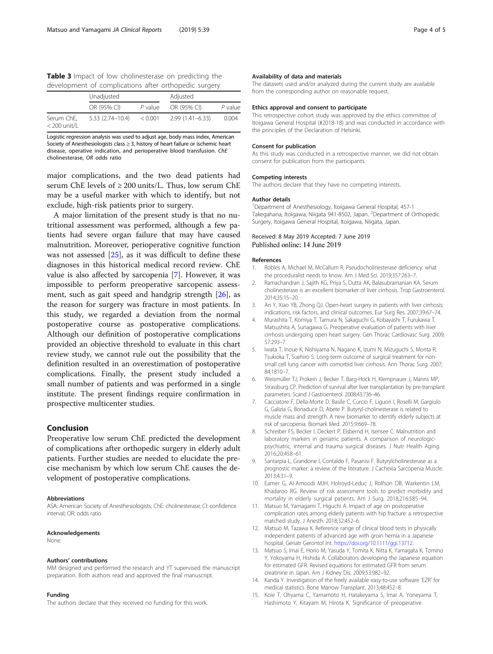<span id="page-3-0"></span>Table 3 Impact of low cholinesterase on predicting the development of complications after orthopedic surgery

|                              | Unadjusted          |         | Adjusted            |           |  |
|------------------------------|---------------------|---------|---------------------|-----------|--|
|                              | OR (95% CI)         | P value | OR (95% CI)         | $P$ value |  |
| Serum ChE,<br>$<$ 200 unit/L | $5.33(2.74 - 10.4)$ | < 0.001 | $2.99(1.41 - 6.33)$ | 0.004     |  |

Logistic regression analysis was used to adjust age, body mass index, American Society of Anesthesiologists class  $\geq$  3, history of heart failure or ischemic heart disease, operative indication, and perioperative blood transfusion. ChE cholinesterase, OR odds ratio

major complications, and the two dead patients had serum ChE levels of  $\geq 200$  units/L. Thus, low serum ChE may be a useful marker with which to identify, but not exclude, high-risk patients prior to surgery.

A major limitation of the present study is that no nutritional assessment was performed, although a few patients had severe organ failure that may have caused malnutrition. Moreover, perioperative cognitive function was not assessed  $[25]$  $[25]$ , as it was difficult to define these diagnoses in this historical medical record review. ChE value is also affected by sarcopenia [7]. However, it was impossible to perform preoperative sarcopenic assessment, such as gait speed and handgrip strength [\[26](#page-4-0)], as the reason for surgery was fracture in most patients. In this study, we regarded a deviation from the normal postoperative course as postoperative complications. Although our definition of postoperative complications provided an objective threshold to evaluate in this chart review study, we cannot rule out the possibility that the definition resulted in an overestimation of postoperative complications. Finally, the present study included a small number of patients and was performed in a single institute. The present findings require confirmation in prospective multicenter studies.

## Conclusion

Preoperative low serum ChE predicted the development of complications after orthopedic surgery in elderly adult patients. Further studies are needed to elucidate the precise mechanism by which low serum ChE causes the development of postoperative complications.

#### Abbreviations

ASA: American Society of Anesthesiologists; ChE: cholinesterase; CI: confidence interval; OR: odds ratio

#### Acknowledgements

None.

#### Authors' contributions

MM designed and performed the research and YT supervised the manuscript preparation. Both authors read and approved the final manuscript.

#### Funding

The authors declare that they received no funding for this work.

#### Availability of data and materials

The datasets used and/or analyzed during the current study are available from the corresponding author on reasonable request.

#### Ethics approval and consent to participate

This retrospective cohort study was approved by the ethics committee of Itoigawa General Hospital (#2018-18) and was conducted in accordance with the principles of the Declaration of Helsinki.

#### Consent for publication

As this study was conducted in a retrospective manner, we did not obtain consent for publication from the participants.

#### Competing interests

The authors declare that they have no competing interests.

#### Author details

1 Department of Anesthesiology, Itoigawa General Hospital, 457-1 Takegahana, Itoigawa, Niigata 941-8502, Japan. <sup>2</sup>Department of Orthopedic Surgery, Itoigawa General Hospital, Itoigawa, Niigata, Japan.

#### Received: 8 May 2019 Accepted: 7 June 2019 Published online: 14 June 2019

#### References

- 1. Robles A, Michael M, McCallum R. Pseudocholinesterase deficiency: what the proceduralist needs to know. Am J Med Sci. 2019;357:263–7.
- 2. Ramachandran J, Sajith KG, Priya S, Dutta AK, Balasubramanian KA. Serum cholinesterase is an excellent biomarker of liver cirrhosis. Trop Gastroenterol. 2014;35:15–20.
- 3. An Y, Xiao YB, Zhong QJ. Open-heart surgery in patients with liver cirrhosis: indications, risk factors, and clinical outcomes. Eur Surg Res. 2007;39:67–74.
- 4. Murashita T, Komiya T, Tamura N, Sakaguchi G, Kobayashi T, Furukawa T, Matsushita A, Sunagawa G. Preoperative evaluation of patients with liver cirrhosis undergoing open heart surgery. Gen Thorac Cardiovasc Surg. 2009; 57:293–7.
- 5. Iwata T, Inoue K, Nishiyama N, Nagano K, Izumi N, Mizuguchi S, Morita R, Tsukioka T, Suehiro S. Long-term outcome of surgical treatment for nonsmall cell lung cancer with comorbid liver cirrhosis. Ann Thorac Surg. 2007; 84:1810–7.
- 6. Weismüller TJ, Prokein J, Becker T, Barg-Hock H, Klempnauer J, Manns MP, Strassburg CP. Prediction of survival after liver transplantation by pre-transplant parameters. Scand J Gastroenterol. 2008;43:736–46.
- 7. Cacciatore F, Della-Morte D, Basile C, Curcio F, Liguori I, Roselli M, Gargiulo G, Galizia G, Bonaduce D, Abete P. Butyryl-cholinesterase is related to muscle mass and strength. A new biomarker to identify elderly subjects at risk of sarcopenia. Biomark Med. 2015;9:669–78.
- 8. Schreiber FS, Becker I, Deckert P, Elsbernd H, Isensee C. Malnutrition and laboratory markers in geriatric patients. A comparison of neurologicpsychiatric, internal and trauma surgical diseases. J Nutr Health Aging. 2016;20:458–61.
- 9. Santarpia L, Grandone I, Contaldo F, Pasanisi F. Butyrylcholinesterase as a prognostic marker: a review of the literature. J Cachexia Sarcopenia Muscle. 2013;4:31–9.
- 10. Eamer G, Al-Amoodi MJH, Holroyd-Leduc J, Rolfson DB, Warkentin LM, Khadaroo RG. Review of risk assessment tools to predict morbidity and mortality in elderly surgical patients. Am J Surg. 2018;216:585–94.
- 11. Matsuo M, Yamagami T, Higuchi A. Impact of age on postoperative complication rates among elderly patients with hip fracture: a retrospective matched study. J Anesth. 2018;32:452–6.
- 12. Matsuo M, Tazawa K. Reference range of clinical blood tests in physically independent patients of advanced age with groin hernia in a Japanese hospital. Geriatr Gerontol Int. [https://doi.org/10.1111/ggi.13712.](https://doi.org/10.1111/ggi.13712)
- 13. Matsuo S, Imai E, Horio M, Yasuda Y, Tomita K, Nitta K, Yamagata K, Tomino Y, Yokoyama H, Hishida A. Collaborators developing the Japanese equation for estimated GFR. Revised equations for estimated GFR from serum creatinine in Japan. Am J Kidney Dis. 2009;53:982–92.
- 14. Kanda Y. Investigation of the freely available easy-to-use software 'EZR' for medical statistics. Bone Marrow Transplant. 2013;48:452–8.
- 15. Koie T, Ohyama C, Yamamoto H, Hatakeyama S, Imai A, Yoneyama T, Hashimoto Y, Kitayam M, Hirota K. Significance of preoperative